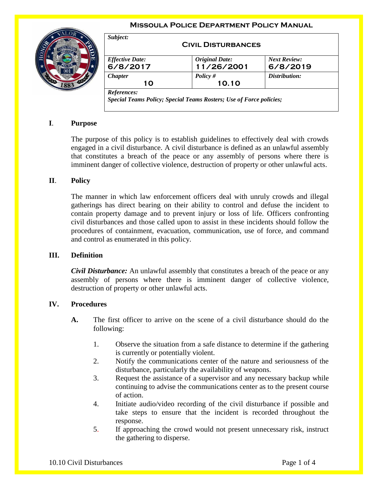#### **Missoula Police Department Policy Manual**



| <b>Effective Date:</b> | <b>Original Date:</b> | <b>Next Review:</b> |
|------------------------|-----------------------|---------------------|
|                        |                       |                     |
| 6/8/2017               | 11/26/2001            | 6/8/2019            |
| <b>Chapter</b>         | Policy $#$            | Distribution:       |
| 10                     | 10.10                 |                     |

# **I**. **Purpose**

The purpose of this policy is to establish guidelines to effectively deal with crowds engaged in a civil disturbance. A civil disturbance is defined as an unlawful assembly that constitutes a breach of the peace or any assembly of persons where there is imminent danger of collective violence, destruction of property or other unlawful acts.

### **II**. **Policy**

The manner in which law enforcement officers deal with unruly crowds and illegal gatherings has direct bearing on their ability to control and defuse the incident to contain property damage and to prevent injury or loss of life. Officers confronting civil disturbances and those called upon to assist in these incidents should follow the procedures of containment, evacuation, communication, use of force, and command and control as enumerated in this policy.

#### **III. Definition**

*Civil Disturbance:* An unlawful assembly that constitutes a breach of the peace or any assembly of persons where there is imminent danger of collective violence, destruction of property or other unlawful acts.

## **IV. Procedures**

- **A.** The first officer to arrive on the scene of a civil disturbance should do the following:
	- 1. Observe the situation from a safe distance to determine if the gathering is currently or potentially violent.
	- 2. Notify the communications center of the nature and seriousness of the disturbance, particularly the availability of weapons.
	- 3. Request the assistance of a supervisor and any necessary backup while continuing to advise the communications center as to the present course of action.
	- 4. Initiate audio/video recording of the civil disturbance if possible and take steps to ensure that the incident is recorded throughout the response.
	- 5. If approaching the crowd would not present unnecessary risk, instruct the gathering to disperse.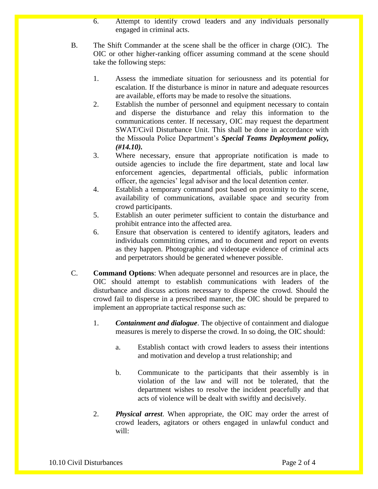- 6. Attempt to identify crowd leaders and any individuals personally engaged in criminal acts.
- B. The Shift Commander at the scene shall be the officer in charge (OIC). The OIC or other higher-ranking officer assuming command at the scene should take the following steps:
	- 1. Assess the immediate situation for seriousness and its potential for escalation. If the disturbance is minor in nature and adequate resources are available, efforts may be made to resolve the situations.
	- 2. Establish the number of personnel and equipment necessary to contain and disperse the disturbance and relay this information to the communications center. If necessary, OIC may request the department SWAT/Civil Disturbance Unit. This shall be done in accordance with the Missoula Police Department's *Special Teams Deployment policy, (#14.10).*
	- 3. Where necessary, ensure that appropriate notification is made to outside agencies to include the fire department, state and local law enforcement agencies, departmental officials, public information officer, the agencies' legal advisor and the local detention center.
	- 4. Establish a temporary command post based on proximity to the scene, availability of communications, available space and security from crowd participants.
	- 5. Establish an outer perimeter sufficient to contain the disturbance and prohibit entrance into the affected area.
	- 6. Ensure that observation is centered to identify agitators, leaders and individuals committing crimes, and to document and report on events as they happen. Photographic and videotape evidence of criminal acts and perpetrators should be generated whenever possible.
- C. **Command Options**: When adequate personnel and resources are in place, the OIC should attempt to establish communications with leaders of the disturbance and discuss actions necessary to disperse the crowd. Should the crowd fail to disperse in a prescribed manner, the OIC should be prepared to implement an appropriate tactical response such as:
	- 1. *Containment and dialogue*. The objective of containment and dialogue measures is merely to disperse the crowd. In so doing, the OIC should:
		- a. Establish contact with crowd leaders to assess their intentions and motivation and develop a trust relationship; and
		- b. Communicate to the participants that their assembly is in violation of the law and will not be tolerated, that the department wishes to resolve the incident peacefully and that acts of violence will be dealt with swiftly and decisively.
	- 2. *Physical arrest*. When appropriate, the OIC may order the arrest of crowd leaders, agitators or others engaged in unlawful conduct and will: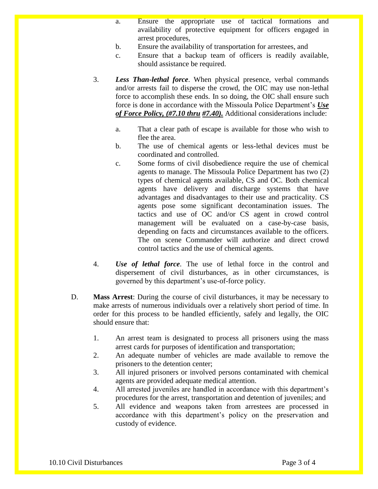- a. Ensure the appropriate use of tactical formations and availability of protective equipment for officers engaged in arrest procedures,
- b. Ensure the availability of transportation for arrestees, and
- c. Ensure that a backup team of officers is readily available, should assistance be required.
- 3. *Less Than-lethal force*. When physical presence, verbal commands and/or arrests fail to disperse the crowd, the OIC may use non-lethal force to accomplish these ends. In so doing, the OIC shall ensure such force is done in accordance with the Missoula Police Department's *Use of Force Policy, (#7.10 thru #7.40).* Additional considerations include:
	- a. That a clear path of escape is available for those who wish to flee the area.
	- b. The use of chemical agents or less-lethal devices must be coordinated and controlled.
	- c. Some forms of civil disobedience require the use of chemical agents to manage. The Missoula Police Department has two (2) types of chemical agents available, CS and OC. Both chemical agents have delivery and discharge systems that have advantages and disadvantages to their use and practicality. CS agents pose some significant decontamination issues. The tactics and use of OC and/or CS agent in crowd control management will be evaluated on a case-by-case basis, depending on facts and circumstances available to the officers. The on scene Commander will authorize and direct crowd control tactics and the use of chemical agents.
- 4. *Use of lethal force*. The use of lethal force in the control and dispersement of civil disturbances, as in other circumstances, is governed by this department's use-of-force policy.
- D. **Mass Arrest**: During the course of civil disturbances, it may be necessary to make arrests of numerous individuals over a relatively short period of time. In order for this process to be handled efficiently, safely and legally, the OIC should ensure that:
	- 1. An arrest team is designated to process all prisoners using the mass arrest cards for purposes of identification and transportation;
	- 2. An adequate number of vehicles are made available to remove the prisoners to the detention center;
	- 3. All injured prisoners or involved persons contaminated with chemical agents are provided adequate medical attention.
	- 4. All arrested juveniles are handled in accordance with this department's procedures for the arrest, transportation and detention of juveniles; and
	- 5. All evidence and weapons taken from arrestees are processed in accordance with this department's policy on the preservation and custody of evidence.